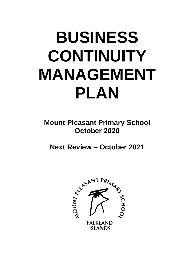# **BUSINESS CONTINUITY MANAGEMENT PLAN**

**Mount Pleasant Primary School October 2020**

**Next Review – October 2021**

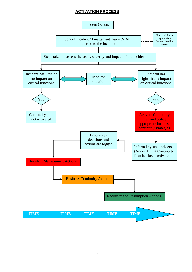#### **ACTIVATION PROCESS**

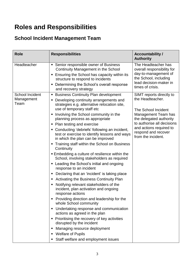# **Roles and Responsibilities**

## **School Incident Management Team**

| <b>Role</b>                                  | <b>Responsibilities</b>                                                                                                                                                                                                                                                                                                                                                                                                                                                                                                                                                                                                                                                                                                                                                                                                                                                                                                                                                                                                                                                                                                                                                                                                                                                | <b>Accountability /</b><br><b>Authority</b>                                                                                                                                                                                        |
|----------------------------------------------|------------------------------------------------------------------------------------------------------------------------------------------------------------------------------------------------------------------------------------------------------------------------------------------------------------------------------------------------------------------------------------------------------------------------------------------------------------------------------------------------------------------------------------------------------------------------------------------------------------------------------------------------------------------------------------------------------------------------------------------------------------------------------------------------------------------------------------------------------------------------------------------------------------------------------------------------------------------------------------------------------------------------------------------------------------------------------------------------------------------------------------------------------------------------------------------------------------------------------------------------------------------------|------------------------------------------------------------------------------------------------------------------------------------------------------------------------------------------------------------------------------------|
| Headteacher                                  | Senior responsible owner of Business<br>Ξ<br>Continuity Management in the School<br>Ensuring the School has capacity within its<br>п<br>structure to respond to incidents<br>Determining the School's overall response<br>Е<br>and recovery strategy                                                                                                                                                                                                                                                                                                                                                                                                                                                                                                                                                                                                                                                                                                                                                                                                                                                                                                                                                                                                                   | The Headteacher has<br>overall responsibility for<br>day-to-management of<br>the School, including<br>lead decision-maker in<br>times of crisis.                                                                                   |
| <b>School Incident</b><br>Management<br>Team | <b>Business Continuity Plan development</b><br>п<br>Developing continuity arrangements and<br>Е<br>strategies e.g. alternative relocation site,<br>use of temporary staff etc<br>Involving the School community in the<br>Ξ<br>planning process as appropriate<br>Plan testing and exercise<br>Ξ<br>Conducting 'debriefs' following an incident,<br>ш<br>test or exercise to identify lessons and ways<br>in which the plan can be improved<br>Training staff within the School on Business<br>п<br>Continuity<br>■ Embedding a culture of resilience within the<br>School, involving stakeholders as required<br>Leading the School's initial and ongoing<br>п<br>response to an incident<br>Declaring that an 'incident' is taking place<br>п<br>Activating the Business Continuity Plan<br>Е<br>Notifying relevant stakeholders of the<br>п<br>incident, plan activation and ongoing<br>response actions<br>Providing direction and leadership for the<br>whole School community<br>Undertaking response and communication<br>п<br>actions as agreed in the plan<br>Prioritising the recovery of key activities<br>п<br>disrupted by the incident<br>Managing resource deployment<br>Е<br><b>Welfare of Pupils</b><br>п<br>Staff welfare and employment issues<br>п | SIMT reports directly to<br>the Headteacher.<br>The School Incident<br><b>Management Team has</b><br>the delegated authority<br>to authorise all decisions<br>and actions required to<br>respond and recover<br>from the incident. |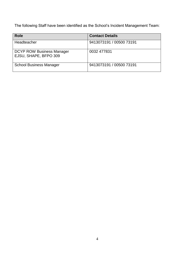The following Staff have been identified as the School's Incident Management Team:

| <b>Role</b>                                               | <b>Contact Details</b>   |
|-----------------------------------------------------------|--------------------------|
| Headteacher                                               | 9413073191 / 00500 73191 |
| <b>DCYP ROW Business Manager</b><br>EJSU, SHAPE, BFPO 309 | 0032 477831              |
| <b>School Business Manager</b>                            | 9413073191 / 00500 73191 |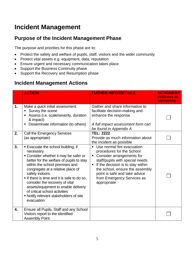## **Incident Management**

## **Purpose of the Incident Management Phase**

The purpose and priorities for this phase are to:

- Protect the safety and welfare of pupils, staff, visitors and the wider community
- Protect vital assets e.g. equipment, data, reputation
- Ensure urgent and necessary communication takes place
- Support the Business Continuity phase
- Support the Recovery and Resumption phase

## **Incident Management Actions**

|               | <b>ACTION</b>                                                                                                                                                                                                                                                                                                                                                                                                                                       | <b>FUTHER INFO/DETAILS</b>                                                                                                                                                                                                                                                                           | <b>ACTIONED?</b><br>(tick/cross as<br>appropriate) |
|---------------|-----------------------------------------------------------------------------------------------------------------------------------------------------------------------------------------------------------------------------------------------------------------------------------------------------------------------------------------------------------------------------------------------------------------------------------------------------|------------------------------------------------------------------------------------------------------------------------------------------------------------------------------------------------------------------------------------------------------------------------------------------------------|----------------------------------------------------|
| $\mathbf 1$ . | Make a <i>quick</i> initial assessment:<br>Survey the scene<br>Assess (i.e. scale/severity, duration<br>$\blacksquare$<br>& impact)<br>Disseminate information (to others)<br>٠                                                                                                                                                                                                                                                                     | Gather and share information to<br>facilitate decision-making and<br>enhance the response<br>A full impact assessment form can<br>be found in Appendix A                                                                                                                                             |                                                    |
| 2.            | Call the Emergency Services<br>(as appropriate)                                                                                                                                                                                                                                                                                                                                                                                                     | <b>TEL: 2222</b><br>Provide as much information about<br>the incident as possible                                                                                                                                                                                                                    |                                                    |
| 3.            | <b>Evacuate the school building, if</b><br>necessary.<br>• Consider whether it may be safer or<br>better for the welfare of pupils to stay<br>within the school premises and<br>congregate at a relative place of<br>safety indoors.<br>If there is time and it is safe to do so,<br>consider the recovery of vital<br>assets/equipment to enable delivery<br>of critical school activities<br>• Notify relevant stakeholders of site<br>evacuation | Use normal fire evacuation<br>$\blacksquare$<br>procedures for the School<br>Consider arrangements for<br>п<br>staff/pupils with special needs<br>If the decision is to stay within<br>the school, ensure the assembly<br>point is safe and take advice<br>from Emergency Services as<br>appropriate |                                                    |
| 4.            | Ensure all Pupils, Staff and any School<br>Visitors report to the identified<br>Assembly Point.                                                                                                                                                                                                                                                                                                                                                     |                                                                                                                                                                                                                                                                                                      |                                                    |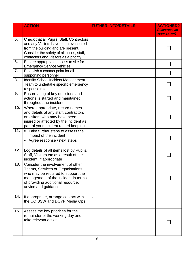|     | <b>ACTION</b>                                                                                                                                                                                                  | <b>FUTHER INFO/DETAILS</b> | <b>ACTIONED?</b><br>(tick/cross as<br>appropriate) |
|-----|----------------------------------------------------------------------------------------------------------------------------------------------------------------------------------------------------------------|----------------------------|----------------------------------------------------|
| 5.  | Check that all Pupils, Staff, Contractors<br>and any Visitors have been evacuated<br>from the building and are present.<br>Consider the safety of all pupils, staff,<br>contactors and Visitors as a priority  |                            |                                                    |
| 6.  | Ensure appropriate access to site for<br><b>Emergency Service vehicles</b>                                                                                                                                     |                            |                                                    |
| 7.  | Establish a contact point for all<br>supporting personnel                                                                                                                                                      |                            |                                                    |
| 8.  | <b>Identify School Incident Management</b><br>Team to undertake specific emergency<br>response roles                                                                                                           |                            |                                                    |
| 9.  | Ensure a log of key decisions and<br>actions is started and maintained<br>throughout the incident                                                                                                              |                            |                                                    |
| 10. | Where appropriate, record names<br>and details of any staff, contractors<br>or visitors who may have been<br>injured or affected by the incident as<br>part of your incident record keeping                    |                            |                                                    |
| 11. | • Take further steps to assess the<br>impact of the incident<br>Agree response / next steps                                                                                                                    |                            |                                                    |
| 12. | Log details of all items lost by Pupils,<br>Staff, Visitors etc as a result of the<br>incident, if appropriate                                                                                                 |                            |                                                    |
| 13. | Consider the involvement of other<br>Teams, Services or Organisations<br>who may be required to support the<br>management of the incident in terms<br>of providing additional resource,<br>advice and guidance |                            |                                                    |
| 14. | If appropriate, arrange contact with<br>the CO BSW and DCYP Media Ops.                                                                                                                                         |                            |                                                    |
| 15. | Assess the key priorities for the<br>remainder of the working day and<br>take relevant action                                                                                                                  |                            |                                                    |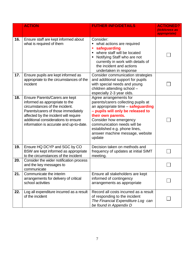|     | <b>ACTION</b>                                                                                                                                                                                                                                                        | <b>FUTHER INFO/DETAILS</b>                                                                                                                                                                                                                                                                            | <b>ACTIONED?</b><br>(tick/cross as |
|-----|----------------------------------------------------------------------------------------------------------------------------------------------------------------------------------------------------------------------------------------------------------------------|-------------------------------------------------------------------------------------------------------------------------------------------------------------------------------------------------------------------------------------------------------------------------------------------------------|------------------------------------|
|     |                                                                                                                                                                                                                                                                      |                                                                                                                                                                                                                                                                                                       | appropriate)                       |
| 16. | Ensure staff are kept informed about<br>what is required of them                                                                                                                                                                                                     | Consider:<br>what actions are required<br>safeguarding<br>where staff will be located<br>$\blacksquare$<br>Notifying Staff who are not<br>currently in work with details of<br>the incident and actions<br>undertaken in response                                                                     |                                    |
| 17. | Ensure pupils are kept informed as<br>appropriate to the circumstances of the<br>incident                                                                                                                                                                            | Consider communication strategies<br>and additional support for pupils<br>with special needs and young<br>children attending school -<br>especially 2-3 year olds.                                                                                                                                    |                                    |
| 18. | Ensure Parents/Carers are kept<br>informed as appropriate to the<br>circumstances of the incident.<br>Parents/carers of those immediately<br>affected by the incident will require<br>additional considerations to ensure<br>information is accurate and up-to-date. | Agree arrangements for<br>parents/carers collecting pupils at<br>an appropriate time - safeguarding<br>- pupils will only be released to<br>their own parents.<br>Consider how emergency<br>communication needs will be<br>established e.g. phone lines,<br>answer machine message, website<br>update |                                    |
| 19. | Ensure HQ DCYP and SGC by CO<br>BSW are kept informed as appropriate<br>to the circumstances of the incident                                                                                                                                                         | Decision taken on methods and<br>frequency of updates at initial SIMT<br>meeting.                                                                                                                                                                                                                     |                                    |
| 20. | Consider the wider notification process<br>and the key messages to<br>communicate                                                                                                                                                                                    |                                                                                                                                                                                                                                                                                                       |                                    |
| 21. | Communicate the interim<br>arrangements for delivery of critical<br>school activities                                                                                                                                                                                | Ensure all stakeholders are kept<br>informed of contingency<br>arrangements as appropriate                                                                                                                                                                                                            |                                    |
| 22. | Log all expenditure incurred as a result<br>of the incident                                                                                                                                                                                                          | Record all costs incurred as a result<br>of responding to the incident<br>The Financial Expenditure Log can<br>be found in Appendix D                                                                                                                                                                 |                                    |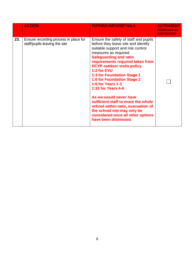|     | <b>ACTION</b>                                                          | <b>FUTHER INFO/DETAILS</b>                                                                                                                                                                                                                                                                                                                                                                                                                                                                                                                                                                                | <b>ACTIONED?</b><br><i><b>(tick/cross as)</b></i><br>appropriate) |
|-----|------------------------------------------------------------------------|-----------------------------------------------------------------------------------------------------------------------------------------------------------------------------------------------------------------------------------------------------------------------------------------------------------------------------------------------------------------------------------------------------------------------------------------------------------------------------------------------------------------------------------------------------------------------------------------------------------|-------------------------------------------------------------------|
| 23. | Ensure recording process in place for<br>staff/pupils leaving the site | Ensure the safety of staff and pupils<br>before they leave site and identify<br>suitable support and risk control<br>measures as required.<br><b>Safeguarding and ratio</b><br>requirements required taken from<br><b>DCYP outdoor visits policy.</b><br>1:2 for EYU<br><b>1:3 for Foundation Stage 1</b><br><b>1:6 for Foundation Stage 2</b><br><b>1:6 for Years 1-3</b><br><b>1:15 for Years 4-6</b><br>As we would never have<br>sufficient staff to move the whole<br>school within ratio, evacuation of<br>the school site may only be<br>considered once all other options<br>have been dismissed. |                                                                   |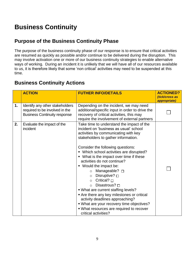# **Business Continuity**

## **Purpose of the Business Continuity Phase**

The purpose of the business continuity phase of our response is to ensure that critical activities are resumed as quickly as possible and/or continue to be delivered during the disruption. This may involve activation one or more of our business continuity strategies to enable alternative ways of working. During an incident it is unlikely that we will have all of our resources available to us, it is therefore likely that some 'non critical' activities may need to be suspended at this time.

## **Business Continuity Actions**

|    | <b>ACTION</b>                                                                                            | <b>FUTHER INFO/DETAILS</b>                                                                                                                                                                                                                                                                                                                                                                                                                                                                                                                                                                                                                                                                                                    | <b>ACTIONED?</b><br>(tick/cross as<br>appropriate) |
|----|----------------------------------------------------------------------------------------------------------|-------------------------------------------------------------------------------------------------------------------------------------------------------------------------------------------------------------------------------------------------------------------------------------------------------------------------------------------------------------------------------------------------------------------------------------------------------------------------------------------------------------------------------------------------------------------------------------------------------------------------------------------------------------------------------------------------------------------------------|----------------------------------------------------|
| 1. | Identify any other stakeholders<br>required to be involved in the<br><b>Business Continuity response</b> | Depending on the incident, we may need<br>additional/specific input in order to drive the<br>recovery of critical activities, this may<br>require the involvement of external partners                                                                                                                                                                                                                                                                                                                                                                                                                                                                                                                                        |                                                    |
| 2. | Evaluate the impact of the<br>incident                                                                   | Take time to understand the impact of the<br>incident on 'business as usual' school<br>activities by communicating with key<br>stakeholders to gather information.<br>Consider the following questions:<br>• Which school activities are disrupted?<br>• What is the impact over time if these<br>activities do not continue?<br>■ Would the impact be:<br>Manageable? □<br>$\circ$<br>Disruptive? $\square$<br>$\circ$<br>Critical? $\Box$<br>$\circ$<br>Disastrous? $\Box$<br>$\cap$<br>■ What are current staffing levels?<br>Are there any key milestones or critical<br>activity deadlines approaching?<br>. What are your recovery time objectives?<br>• What resources are required to recover<br>critical activities? |                                                    |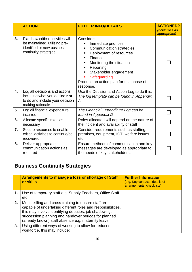|                  | <b>ACTION</b>                                                                                                             | <b>FUTHER INFO/DETAILS</b>                                                                                                                                                                                                                                  | <b>ACTIONED?</b><br>(tick/cross as<br>appropriate) |
|------------------|---------------------------------------------------------------------------------------------------------------------------|-------------------------------------------------------------------------------------------------------------------------------------------------------------------------------------------------------------------------------------------------------------|----------------------------------------------------|
| 3.               | Plan how critical activities will<br>be maintained, utilising pre-<br>identified or new business<br>continuity strategies | Consider:<br>Immediate priorities<br>٠<br><b>Communication strategies</b><br>Deployment of resources<br>Finance<br>Monitoring the situation<br>Reporting<br>Stakeholder engagement<br>Safeguarding<br>Produce an action plan for this phase of<br>response. |                                                    |
| 4.               | Log all decisions and actions,<br>including what you decide not<br>to do and include your decision<br>making rationale    | Use the Decision and Action Log to do this.<br>The log template can be found in Appendix<br>$\overline{A}$                                                                                                                                                  |                                                    |
| 5.               | Log all financial expenditure<br>incurred                                                                                 | The Financial Expenditure Log can be<br>found in Appendix D                                                                                                                                                                                                 |                                                    |
| 6.               | Allocate specific roles as<br>necessary                                                                                   | Roles allocated will depend on the nature of<br>the incident and availability of staff                                                                                                                                                                      |                                                    |
| $\overline{7}$ . | Secure resources to enable<br>critical activities to continue/be<br>recovered                                             | Consider requirements such as staffing,<br>premises, equipment, ICT, welfare issues<br>etc                                                                                                                                                                  |                                                    |
| 8.               | Deliver appropriate<br>communication actions as<br>required                                                               | Ensure methods of communication and key<br>messages are developed as appropriate to<br>the needs of key stakeholders.                                                                                                                                       |                                                    |

## **Business Continuity Strategies**

|    | <b>Arrangements to manage a loss or shortage of Staff</b><br>or skills                                                                                                                                                                                                                       | <b>Further Information</b><br>(e.g. Key contacts, details of<br>arrangements, checklists) |
|----|----------------------------------------------------------------------------------------------------------------------------------------------------------------------------------------------------------------------------------------------------------------------------------------------|-------------------------------------------------------------------------------------------|
|    | Use of temporary staff e.g. Supply Teachers, Office Staff<br>etc.                                                                                                                                                                                                                            |                                                                                           |
| 2. | Multi-skilling and cross-training to ensure staff are<br>capable of undertaking different roles and responsibilities,<br>this may involve identifying deputies, job shadowing,<br>succession planning and handover periods for planned<br>(already known) staff absence e.g. maternity leave |                                                                                           |
| 3. | Using different ways of working to allow for reduced<br>workforce, this may include:                                                                                                                                                                                                         |                                                                                           |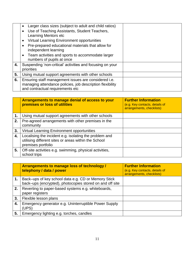|    | Larger class sizes (subject to adult and child ratios)<br>$\bullet$<br>Use of Teaching Assistants, Student Teachers,<br>$\bullet$<br>Learning Mentors etc<br>Virtual Learning Environment opportunities<br>٠ |  |
|----|--------------------------------------------------------------------------------------------------------------------------------------------------------------------------------------------------------------|--|
|    | Pre-prepared educational materials that allow for<br>$\bullet$<br>independent learning                                                                                                                       |  |
|    | Team activities and sports to accommodate larger<br>$\bullet$<br>numbers of pupils at once                                                                                                                   |  |
| 4. | Suspending 'non-critical' activities and focusing on your<br>priorities                                                                                                                                      |  |
| 5. | Using mutual support agreements with other schools                                                                                                                                                           |  |
| 6. | Ensuring staff management issues are considered i.e.<br>managing attendance policies, job description flexibility<br>and contractual requirements etc                                                        |  |

|    | Arrangements to manage denial of access to your<br>premises or loss of utilities                                                     | <b>Further Information</b><br>(e.g. Key contacts, details of<br>arrangements, checklists) |
|----|--------------------------------------------------------------------------------------------------------------------------------------|-------------------------------------------------------------------------------------------|
|    | Using mutual support agreements with other schools                                                                                   |                                                                                           |
| 2. | Pre-agreed arrangements with other premises in the<br>community                                                                      |                                                                                           |
| 3. | Virtual Learning Environment opportunities                                                                                           |                                                                                           |
| 4. | Localising the incident e.g. isolating the problem and<br>utilising different sites or areas within the School<br>premises portfolio |                                                                                           |
| 5. | Off-site activities e.g. swimming, physical activities,<br>school trips                                                              |                                                                                           |

|    | Arrangements to manage loss of technology /<br>telephony / data / power                                         | <b>Further Information</b><br>(e.g. Key contacts, details of<br>arrangements, checklists) |
|----|-----------------------------------------------------------------------------------------------------------------|-------------------------------------------------------------------------------------------|
| 1. | Back-ups of key school data e.g. CD or Memory Stick<br>back-ups (encrypted), photocopies stored on and off site |                                                                                           |
| 2. | Reverting to paper-based systems e.g. whiteboards,<br>paper registers                                           |                                                                                           |
| 3. | Flexible lesson plans                                                                                           |                                                                                           |
| 4. | Emergency generator e.g. Uninterruptible Power Supply<br>(UPS)                                                  |                                                                                           |
| 5. | Emergency lighting e.g. torches, candles                                                                        |                                                                                           |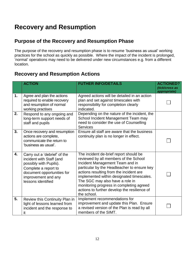# **Recovery and Resumption**

## **Purpose of the Recovery and Resumption Phase**

The purpose of the recovery and resumption phase is to resume 'business as usual' working practices for the school as quickly as possible. Where the impact of the incident is prolonged, 'normal' operations may need to be delivered under new circumstances e.g. from a different location.

### **Recovery and Resumption Actions**

|    | <b>ACTION</b>                                                                                                                                                                         | <b>FUTHER INFO/DETAILS</b>                                                                                                                                                                                                                                                                                                                                                                              | <b>ACTIONED?</b><br>(tick/cross as<br>appropriate) |
|----|---------------------------------------------------------------------------------------------------------------------------------------------------------------------------------------|---------------------------------------------------------------------------------------------------------------------------------------------------------------------------------------------------------------------------------------------------------------------------------------------------------------------------------------------------------------------------------------------------------|----------------------------------------------------|
| 1. | Agree and plan the actions<br>required to enable recovery<br>and resumption of normal<br>working practises                                                                            | Agreed actions will be detailed in an action<br>plan and set against timescales with<br>responsibility for completion clearly<br>indicated.                                                                                                                                                                                                                                                             |                                                    |
| 2. | Respond to any ongoing and<br>long-term support needs of<br>staff and pupils                                                                                                          | Depending on the nature of the incident, the<br>School Incident Management Team may<br>need to consider the use of Counselling<br><b>Services</b>                                                                                                                                                                                                                                                       |                                                    |
| 3. | Once recovery and resumption<br>actions are complete,<br>communicate the return to<br>'business as usual'.                                                                            | Ensure all staff are aware that the business<br>continuity plan is no longer in effect.                                                                                                                                                                                                                                                                                                                 |                                                    |
| 4. | Carry out a 'debrief' of the<br>incident with Staff (and<br>possibly with Pupils).<br>Complete a report to<br>document opportunities for<br>improvement and any<br>lessons identified | The incident de-brief report should be<br>reviewed by all members of the School<br>Incident Management Team and in<br>particular by the Headteacher to ensure key<br>actions resulting from the incident are<br>implemented within designated timescales.<br>The SGC may also have a role in<br>monitoring progress in completing agreed<br>actions to further develop the resilience of<br>the school. |                                                    |
| 5. | Review this Continuity Plan in<br>light of lessons learned from<br>incident and the response to<br>it                                                                                 | Implement recommendations for<br>improvement and update this Plan. Ensure<br>a revised version of the Plan is read by all<br>members of the SIMT.                                                                                                                                                                                                                                                       |                                                    |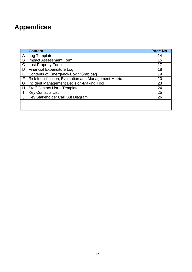# **Appendices**

|             | <b>Content</b>                                        | Page No. |
|-------------|-------------------------------------------------------|----------|
| A           | Log Template                                          | 14       |
| B           | <b>Impact Assessment Form</b>                         | 15       |
| $\mathsf C$ | <b>Lost Property Form</b>                             |          |
| D           | <b>Financial Expenditure Log</b>                      | 18       |
| Е           | Contents of Emergency Box / 'Grab bag'                | 19       |
| F           | Risk Identification, Evaluation and Management Matrix | 20       |
| G           | Incident Management Decision-Making Tool              | 23       |
| Н           | <b>Staff Contact List - Template</b>                  | 24       |
|             | <b>Key Contacts List</b>                              | 25       |
|             | Key Stakeholder Call Out Diagram                      | 26       |
|             |                                                       |          |
|             |                                                       |          |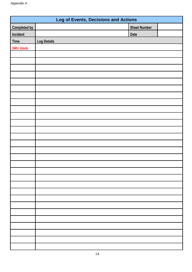| <b>Log of Events, Decisions and Actions</b> |                    |                     |  |
|---------------------------------------------|--------------------|---------------------|--|
| <b>Completed by</b>                         |                    | <b>Sheet Number</b> |  |
| <b>Incident</b>                             |                    | <b>Date</b>         |  |
| <b>Time</b>                                 | <b>Log Details</b> |                     |  |
| 24hr clock                                  |                    |                     |  |
|                                             |                    |                     |  |
|                                             |                    |                     |  |
|                                             |                    |                     |  |
|                                             |                    |                     |  |
|                                             |                    |                     |  |
|                                             |                    |                     |  |
|                                             |                    |                     |  |
|                                             |                    |                     |  |
|                                             |                    |                     |  |
|                                             |                    |                     |  |
|                                             |                    |                     |  |
|                                             |                    |                     |  |
|                                             |                    |                     |  |
|                                             |                    |                     |  |
|                                             |                    |                     |  |
|                                             |                    |                     |  |
|                                             |                    |                     |  |
|                                             |                    |                     |  |
|                                             |                    |                     |  |
|                                             |                    |                     |  |
|                                             |                    |                     |  |
|                                             |                    |                     |  |
|                                             |                    |                     |  |
|                                             |                    |                     |  |
|                                             |                    |                     |  |
|                                             |                    |                     |  |
|                                             |                    |                     |  |
|                                             |                    |                     |  |
|                                             |                    |                     |  |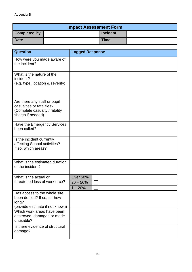#### Appendix B

| <b>Impact Assessment Form</b> |  |                 |  |
|-------------------------------|--|-----------------|--|
| <b>Completed By</b>           |  | <b>Incident</b> |  |
| <b>Date</b>                   |  | <b>Time</b>     |  |

| <b>Question</b>                                                                                                 | <b>Logged Response</b>                     |
|-----------------------------------------------------------------------------------------------------------------|--------------------------------------------|
| How were you made aware of<br>the incident?                                                                     |                                            |
| What is the nature of the<br>incident?<br>(e.g. type, location & severity)                                      |                                            |
| Are there any staff or pupil<br>casualties or fatalities?<br>(Complete casualty / fatality<br>sheets if needed) |                                            |
| Have the Emergency Services<br>been called?                                                                     |                                            |
| Is the incident currently<br>affecting School activities?<br>If so, which areas?                                |                                            |
| What is the estimated duration<br>of the incident?                                                              |                                            |
| What is the actual or<br>threatened loss of workforce?                                                          | <b>Over 50%</b><br>$20 - 50%$<br>$1 - 20%$ |
| Has access to the whole site<br>been denied? If so, for how<br>long?<br>(provide estimate if not known)         |                                            |
| Which work areas have been<br>destroyed, damaged or made<br>unusable?                                           |                                            |
| Is there evidence of structural<br>damage?                                                                      |                                            |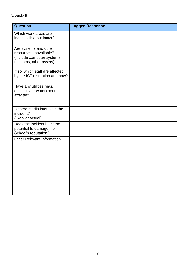| <b>Question</b>                                                                                          | <b>Logged Response</b> |
|----------------------------------------------------------------------------------------------------------|------------------------|
| Which work areas are<br>inaccessible but intact?                                                         |                        |
| Are systems and other<br>resources unavailable?<br>(include computer systems,<br>telecoms, other assets) |                        |
| If so, which staff are affected<br>by the ICT disruption and how?                                        |                        |
| Have any utilities (gas,<br>electricity or water) been<br>affected?                                      |                        |
| Is there media interest in the<br>incident?<br>(likely or actual)                                        |                        |
| Does the incident have the<br>potential to damage the<br>School's reputation?                            |                        |
| <b>Other Relevant Information</b>                                                                        |                        |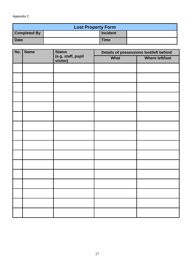Appendix C

| <b>Lost Property Form</b> |  |                 |  |
|---------------------------|--|-----------------|--|
| <b>Completed By</b>       |  | <b>Incident</b> |  |
| Date                      |  | <b>Time</b>     |  |

| No. | <b>Name</b> | <b>Status</b>                  | Details of possessions lost/left behind |                        |
|-----|-------------|--------------------------------|-----------------------------------------|------------------------|
|     |             | (e.g. staff, pupil<br>visitor) | What                                    | <b>Where left/lost</b> |
|     |             |                                |                                         |                        |
|     |             |                                |                                         |                        |
|     |             |                                |                                         |                        |
|     |             |                                |                                         |                        |
|     |             |                                |                                         |                        |
|     |             |                                |                                         |                        |
|     |             |                                |                                         |                        |
|     |             |                                |                                         |                        |
|     |             |                                |                                         |                        |
|     |             |                                |                                         |                        |
|     |             |                                |                                         |                        |
|     |             |                                |                                         |                        |
|     |             |                                |                                         |                        |
|     |             |                                |                                         |                        |
|     |             |                                |                                         |                        |
|     |             |                                |                                         |                        |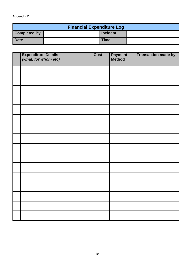#### Appendix D

| <b>Financial Expenditure Log</b> |  |                 |  |
|----------------------------------|--|-----------------|--|
| <b>Completed By</b>              |  | <b>Incident</b> |  |
| Date                             |  | <b>Time</b>     |  |

| <b>Expenditure Details</b><br>(what, for whom etc) | <b>Cost</b> | <b>Payment</b><br>Method | <b>Transaction made by</b> |
|----------------------------------------------------|-------------|--------------------------|----------------------------|
|                                                    |             |                          |                            |
|                                                    |             |                          |                            |
|                                                    |             |                          |                            |
|                                                    |             |                          |                            |
|                                                    |             |                          |                            |
|                                                    |             |                          |                            |
|                                                    |             |                          |                            |
|                                                    |             |                          |                            |
|                                                    |             |                          |                            |
|                                                    |             |                          |                            |
|                                                    |             |                          |                            |
|                                                    |             |                          |                            |
|                                                    |             |                          |                            |
|                                                    |             |                          |                            |
|                                                    |             |                          |                            |
|                                                    |             |                          |                            |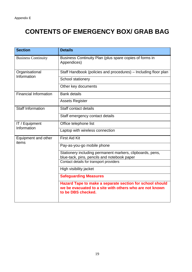# **CONTENTS OF EMERGENCY BOX/ GRAB BAG**

| <b>Section</b>                | <b>Details</b>                                                                                                                            |  |  |
|-------------------------------|-------------------------------------------------------------------------------------------------------------------------------------------|--|--|
| <b>Business Continuity</b>    | Business Continuity Plan (plus spare copies of forms in<br>Appendices)                                                                    |  |  |
| Organisational<br>Information | Staff Handbook (policies and procedures) – Including floor plan                                                                           |  |  |
|                               | School stationery                                                                                                                         |  |  |
|                               | Other key documents                                                                                                                       |  |  |
| <b>Financial Information</b>  | <b>Bank details</b>                                                                                                                       |  |  |
|                               | <b>Assets Register</b>                                                                                                                    |  |  |
| <b>Staff Information</b>      | Staff contact details                                                                                                                     |  |  |
|                               | Staff emergency contact details                                                                                                           |  |  |
| IT / Equipment                | Office telephone list                                                                                                                     |  |  |
| Information                   | Laptop with wireless connection                                                                                                           |  |  |
| Equipment and other<br>items  | <b>First Aid Kit</b>                                                                                                                      |  |  |
|                               | Pay-as-you-go mobile phone                                                                                                                |  |  |
|                               | Stationery including permanent markers, clipboards, pens,<br>blue-tack, pins, pencils and notebook paper                                  |  |  |
|                               | Contact details for transport providers                                                                                                   |  |  |
|                               | High visibility jacket                                                                                                                    |  |  |
|                               | <b>Safeguarding Measures</b>                                                                                                              |  |  |
|                               | Hazard Tape to make a separate section for school should<br>we be evacuated to a site with others who are not known<br>to be DBS checked. |  |  |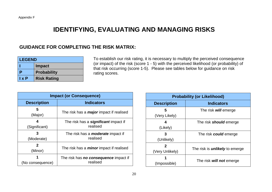## **IDENTIFYING, EVALUATING AND MANAGING RISKS**

#### **GUIDANCE FOR COMPLETING THE RISK MATRIX:**

| <b>LEGEND</b>                  |                    |  |
|--------------------------------|--------------------|--|
|                                | <b>Impact</b>      |  |
| P                              | <b>Probability</b> |  |
| $\mathbf{I} \times \mathbf{P}$ | <b>Risk Rating</b> |  |

To establish our risk rating, it is necessary to multiply the perceived consequence (or impact) of the risk (score 1 - 5) with the perceived likelihood (or probability) of that risk occurring (score 1-5). Please see tables below for guidance on risk rating scores.

| <b>Impact (or Consequence)</b> |                                                          |  |  |
|--------------------------------|----------------------------------------------------------|--|--|
| <b>Description</b>             | <b>Indicators</b>                                        |  |  |
| 5<br>(Major)                   | The risk has a <i>major</i> impact if realised           |  |  |
| (Significant)                  | The risk has a <b>significant</b> impact if<br>realised  |  |  |
| (Moderate)                     | The risk has a <b>moderate</b> impact if<br>realised     |  |  |
| 2<br>(Minor)                   | The risk has a <i>minor</i> impact if realised           |  |  |
| (No consequence)               | The risk has <b>no consequence</b> impact if<br>realised |  |  |

| <b>Probability (or Likelihood)</b> |                                       |  |  |  |
|------------------------------------|---------------------------------------|--|--|--|
| <b>Description</b>                 | <b>Indicators</b>                     |  |  |  |
| 5<br>(Very Likely)                 | The risk <i>will</i> emerge           |  |  |  |
| 4<br>(Likely)                      | The risk <b>should</b> emerge         |  |  |  |
| З<br>(Unlikely)                    | The risk <b>could</b> emerge          |  |  |  |
| 2<br>(Very Unlikely)               | The risk is <i>unlikely</i> to emerge |  |  |  |
| (Impossible)                       | The risk <i>will not</i> emerge       |  |  |  |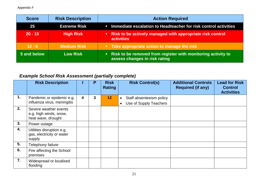Appendix F

| <b>Score</b> | <b>Risk Description</b> | <b>Action Required</b>                                                                          |
|--------------|-------------------------|-------------------------------------------------------------------------------------------------|
| 25           | <b>Extreme Risk</b>     | <b>EXECUTE:</b> Immediate escalation to Headteacher for risk control activities                 |
| $20 - 15$    | <b>High Risk</b>        | • Risk to be actively managed with appropriate risk control<br><b>activities</b>                |
| $12 - 6$     | <b>Medium Risk</b>      | • Take appropriate action to manage the risk                                                    |
| 5 and below  | <b>Low Risk</b>         | • Risk to be removed from register with monitoring activity to<br>assess changes in risk rating |

## *Example School Risk Assessment (partially complete)*

|    | <b>Risk Description</b>                                               |   | P | <b>Risk</b><br>Rating | <b>Risk Control(s)</b>                                                       | <b>Additional Controls</b><br><b>Required (if any)</b> | <b>Lead for Risk</b><br><b>Control</b><br><b>Activities</b> |
|----|-----------------------------------------------------------------------|---|---|-----------------------|------------------------------------------------------------------------------|--------------------------------------------------------|-------------------------------------------------------------|
| 1. | Pandemic or epidemic e.g.<br>influenza virus, meningitis              | 4 | 3 | 12 <sub>2</sub>       | Staff absenteeism policy<br>$\bullet$<br>Use of Supply Teachers<br>$\bullet$ |                                                        |                                                             |
| 2. | Severe weather events<br>e.g. high winds, snow,<br>heat wave, drought |   |   |                       |                                                                              |                                                        |                                                             |
| 3. | Power outage                                                          |   |   |                       |                                                                              |                                                        |                                                             |
| 4. | Utilities disruption e.g.<br>gas, electricity or water<br>supply      |   |   |                       |                                                                              |                                                        |                                                             |
| 5. | Telephony failure                                                     |   |   |                       |                                                                              |                                                        |                                                             |
| 6. | Fire affecting the School<br>premises                                 |   |   |                       |                                                                              |                                                        |                                                             |
| 7. | Widespread or localised<br>flooding                                   |   |   |                       |                                                                              |                                                        |                                                             |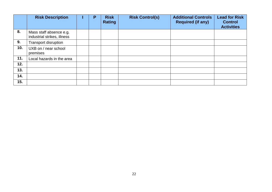|     | <b>Risk Description</b>                                | Р | <b>Risk</b><br><b>Rating</b> | <b>Risk Control(s)</b> | <b>Additional Controls</b><br><b>Required (if any)</b> | <b>Lead for Risk</b><br><b>Control</b><br><b>Activities</b> |
|-----|--------------------------------------------------------|---|------------------------------|------------------------|--------------------------------------------------------|-------------------------------------------------------------|
| 8.  | Mass staff absence e.g.<br>industrial strikes, illness |   |                              |                        |                                                        |                                                             |
| 9.  | <b>Transport disruption</b>                            |   |                              |                        |                                                        |                                                             |
| 10. | UXB on / near school<br>premises                       |   |                              |                        |                                                        |                                                             |
| 11. | Local hazards in the area                              |   |                              |                        |                                                        |                                                             |
| 12. |                                                        |   |                              |                        |                                                        |                                                             |
| 13. |                                                        |   |                              |                        |                                                        |                                                             |
| 14. |                                                        |   |                              |                        |                                                        |                                                             |
| 15. |                                                        |   |                              |                        |                                                        |                                                             |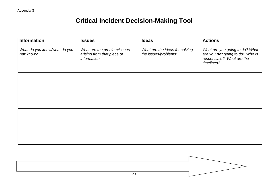# **Critical Incident Decision-Making Tool**

| <b>Information</b>                        | <b>Issues</b>                                                            | <b>Ideas</b>                                           | <b>Actions</b>                                                                                               |
|-------------------------------------------|--------------------------------------------------------------------------|--------------------------------------------------------|--------------------------------------------------------------------------------------------------------------|
| What do you know/what do you<br>not know? | What are the problem/issues<br>arising from that piece of<br>information | What are the ideas for solving<br>the issues/problems? | What are you going to do? What<br>are you not going to do? Who is<br>responsible? What are the<br>timelines? |
|                                           |                                                                          |                                                        |                                                                                                              |
|                                           |                                                                          |                                                        |                                                                                                              |
|                                           |                                                                          |                                                        |                                                                                                              |
|                                           |                                                                          |                                                        |                                                                                                              |
|                                           |                                                                          |                                                        |                                                                                                              |
|                                           |                                                                          |                                                        |                                                                                                              |
|                                           |                                                                          |                                                        |                                                                                                              |
|                                           |                                                                          |                                                        |                                                                                                              |
|                                           |                                                                          |                                                        |                                                                                                              |
|                                           |                                                                          |                                                        |                                                                                                              |
|                                           |                                                                          |                                                        |                                                                                                              |

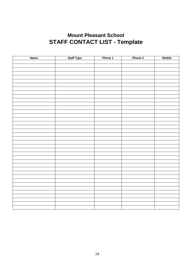## **Mount Pleasant School STAFF CONTACT LIST - Template**

| <b>Staff Type</b><br><b>Name</b> | Phone 1 | Phone 2 | <b>Mobile</b> |
|----------------------------------|---------|---------|---------------|
|                                  |         |         |               |
|                                  |         |         |               |
|                                  |         |         |               |
|                                  |         |         |               |
|                                  |         |         |               |
|                                  |         |         |               |
|                                  |         |         |               |
|                                  |         |         |               |
|                                  |         |         |               |
|                                  |         |         |               |
|                                  |         |         |               |
|                                  |         |         |               |
|                                  |         |         |               |
|                                  |         |         |               |
|                                  |         |         |               |
|                                  |         |         |               |
|                                  |         |         |               |
|                                  |         |         |               |
|                                  |         |         |               |
|                                  |         |         |               |
|                                  |         |         |               |
|                                  |         |         |               |
|                                  |         |         |               |
|                                  |         |         |               |
|                                  |         |         |               |
|                                  |         |         |               |
|                                  |         |         |               |
|                                  |         |         |               |
|                                  |         |         |               |
|                                  |         |         |               |
|                                  |         |         |               |
|                                  |         |         |               |
|                                  |         |         |               |
|                                  |         |         |               |
|                                  |         |         |               |
|                                  |         |         |               |
|                                  |         |         |               |
|                                  |         |         |               |
|                                  |         |         |               |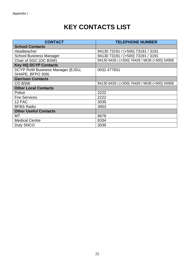# **KEY CONTACTS LIST**

| <b>CONTACT</b>                   | <b>TELEPHONE NUMBER</b>                      |
|----------------------------------|----------------------------------------------|
| <b>School Contacts</b>           |                                              |
| Headteacher                      | 94130 73191 / (+500) 73191 / 3191            |
| <b>School Business Manager</b>   | 94130 73191 / (+500) 73191 / 3191            |
| Chair of SGC (OC BSW)            | 94130 6426 / (+500) 76426 / MOB (+500) 54958 |
| <b>Key HQ DCYP Contacts</b>      |                                              |
| DCYP RoW Business Manager (EJSU, | 0032 477831                                  |
| SHAPE, BFPO 309)                 |                                              |
| <b>Garrison Contacts</b>         |                                              |
| <b>CO BSW</b>                    | 94130 6426 / (+500) 76426 / MOB (+500) 54958 |
| <b>Other Local Contacts</b>      |                                              |
| Police                           | 2222                                         |
| <b>Fire Services</b>             | 2222                                         |
| 12 FAC                           | 3035                                         |
| <b>BFBS Radio</b>                | 3003                                         |
| <b>Other Useful Contacts</b>     |                                              |
| МT                               | 6676                                         |
| <b>Medical Centre</b>            | 6334                                         |
| <b>Duty SNCO</b>                 | 3035                                         |